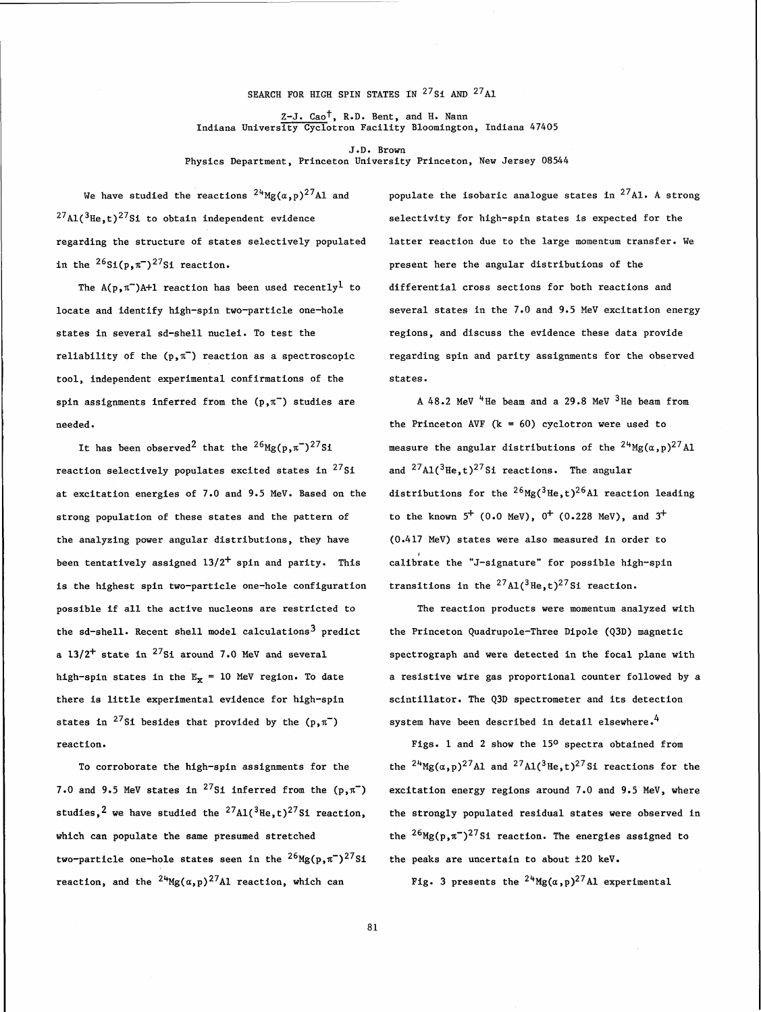## SEARCH FOR HIGH SPIN STATES IN  $^{27}$ Si AND  $^{27}$ Al

Z-J. Cao<sup>t</sup>, R.D. Bent, and H. Nann Indiana University Cyclotron Facility Bloomington, Indiana 47405

J.D. Brown Physics Department, Princeton University Princeton, New Jersey 08544

We have studied the reactions  $^{24}$ Mg( $\alpha$ ,p)<sup>27</sup>Al and populate the isobaric analogue states in <sup>27</sup>Al. A strong  $^{27}$ Al( $^{3}$ He,t)<sup>27</sup>Si to obtain independent evidence selectivity for high-spin states is expected for the regarding the structure of states selectively populated latter reaction due to the large momentum transfer. We in the  $^{26}Si(p,\pi^-)^{27}Si$  reaction.  $p=2$  present here the angular distributions of the

states in several sd-shell nuclei. To test the regions, and discuss the evidence these data provide tool, independent experimental confirmations of the states. spin assignments inferred from the  $(p, \pi^{-})$  studies are  $A\ 48.2$  MeV  $^{4}$ He beam and a 29.8 MeV  $^{3}$ He beam from

reaction selectively populates excited states in  $^{27}Si$  and  $^{27}Al(^{3}He,t)^{27}Si$  reactions. The angular at excitation energies of 7.0 and 9.5 MeV. Based on the distributions for the  $^{26}$ Mg( $^{3}$ He,t) $^{26}$ Al reaction leading strong population of these states and the pattern of to the known  $5^+$  (0.0 MeV),  $0^+$  (0.228 MeV), and  $3^+$ the analyzing power angular distributions, they have (0.417 MeV) states were also measured in order to been tentatively assigned 13/2<sup>+</sup> spin and parity. This calibrate the "J-signature" for possible high-spin is the highest spin two-particle one-hole configuration transitions in the  $^{27}$ Al( $^{3}$ He,t)<sup>27</sup>Si reaction. possible if all the active nucleons are restricted to The reaction products were momentum analyzed with the sd-shell. Recent shell model calculations<sup>3</sup> predict the Princeton Quadrupole-Three Dipole (Q3D) magnetic a  $13/2^+$  state in <sup>27</sup>Si around 7.0 MeV and several spectrograph and were detected in the focal plane with there is little experimental evidence for high-spin scintillator. The Q3D spectrometer and its detection states in <sup>27</sup>Si besides that provided by the (p, $\pi^-$ ) system have been described in detail elsewhere.<sup>4</sup> reaction. The reaction of the 150 spectra obtained from  $Figs. 1$  and 2 show the 150 spectra obtained from

7.0 and 9.5 MeV states in <sup>27</sup>Si inferred from the ( $p,\pi^-$ ) excitation energy regions around 7.0 and 9.5 MeV, where studies,<sup>2</sup> we have studied the <sup>27</sup>Al(<sup>3</sup>He,t)<sup>27</sup>Si reaction, the strongly populated residual states were observed in which can populate the same presumed stretched the  $^{26}$ Mg(p, $\pi$ <sup>-</sup>)<sup>27</sup>Si reaction. The energies assigned to two-particle one-hole states seen in the  $^{26}Mg(p,\pi^-)^{27}Si$  the peaks are uncertain to about  $\pm 20$  keV. reaction, and the <sup>24</sup>Mg( $\alpha$ , p)<sup>27</sup>Al reaction, which can Fig. 3 presents the <sup>24</sup>Mg( $\alpha$ , p)<sup>27</sup>Al experimental

The A(p, $\pi^-$ )A+1 reaction has been used recently<sup>1</sup> to differential cross sections for both reactions and locate and identify high-spin two-particle one-hole several states in the 7.0 and 9.5 MeV excitation energy reliability of the  $(p, \pi^-)$  reaction as a spectroscopic regarding spin and parity assignments for the observed

needed. the Princeton AVF (k = 60) cyclotron were used to It has been observed<sup>2</sup> that the <sup>26</sup>Mg(p, $\pi$ <sup>-</sup>)<sup>27</sup>Si measure the angular distributions of the <sup>24</sup>Mg( $\alpha$ , p)<sup>27</sup>A1

high-spin states in the  $E_x = 10$  MeV region. To date a resistive wire gas proportional counter followed by a

To corroborate the high-spin assignments for the the  $^{2+}Mg(\alpha,p)^{27}Al$  and  $^{27}Al(^{3}He,t)^{27}Si$  reactions for the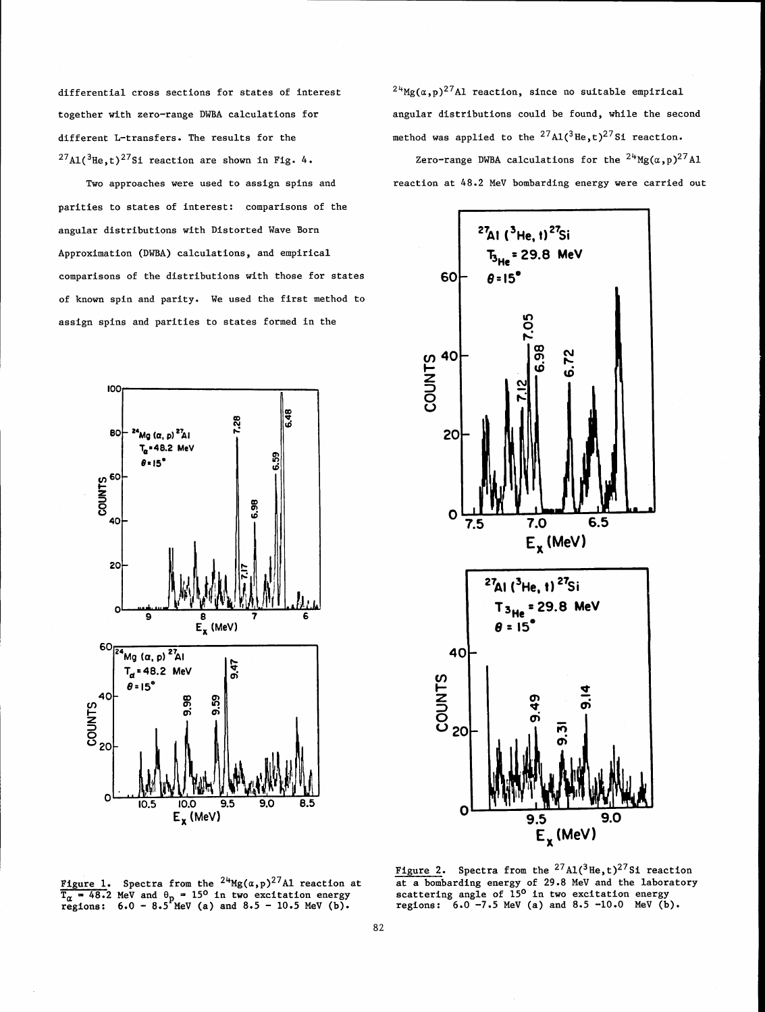differential cross sections for states of interest together with zero-range DWBA calculations for different L-transfers. The results for the  $^{27}$ A1(<sup>3</sup>He,t)<sup>27</sup>Si reaction are shown in Fig. 4.

Two approaches were used to assign spins and parities to states of interest: comparisons of the angular distributions with Distorted Wave Born Approximation (DWBA) calculations, and empirical comparisons of the distributions with those for states of known spin and parity. We used the first method to assign spins and parities to states formed in the



 $^{24}$ Mg( $(\alpha, p)$ <sup>27</sup>Al reaction, since no suitable empirical angular distributions could be found, while the second method was applied to the  $^{27}$ Al(<sup>3</sup>He,t)<sup>27</sup>Si reaction.

Zero-range DWBA calculations for the  $24^{}$ Mg( $\alpha$ , p)<sup>27</sup>Al reaction at **48.2** MeV bombarding energy were carried out



 $\overline{T}_{\alpha}$  = 48.2 MeV and  $\theta_p$  = 15° in two excitation energy<br>regions: 6.0 - 8.5 MeV (a) and 8.5 - 10.5 MeV (b). The regions: 6.0 -7.5 MeV (a) and 8.5 -10.0 MeV (b)

Figure 2. Spectra from the  $^{27}$ A1(<sup>3</sup>He, t)<sup>27</sup>Si reaction Figure 1. **Example 24. 1.**  $\frac{1}{2}$  reaction at a bombarding energy of 29.8 MeV and the laboratory scattering angle of 15<sup>o</sup> in two excitation energy regions:  $6.0 - 7.5$  MeV (a) and  $8.5 - 10.0$  MeV (b).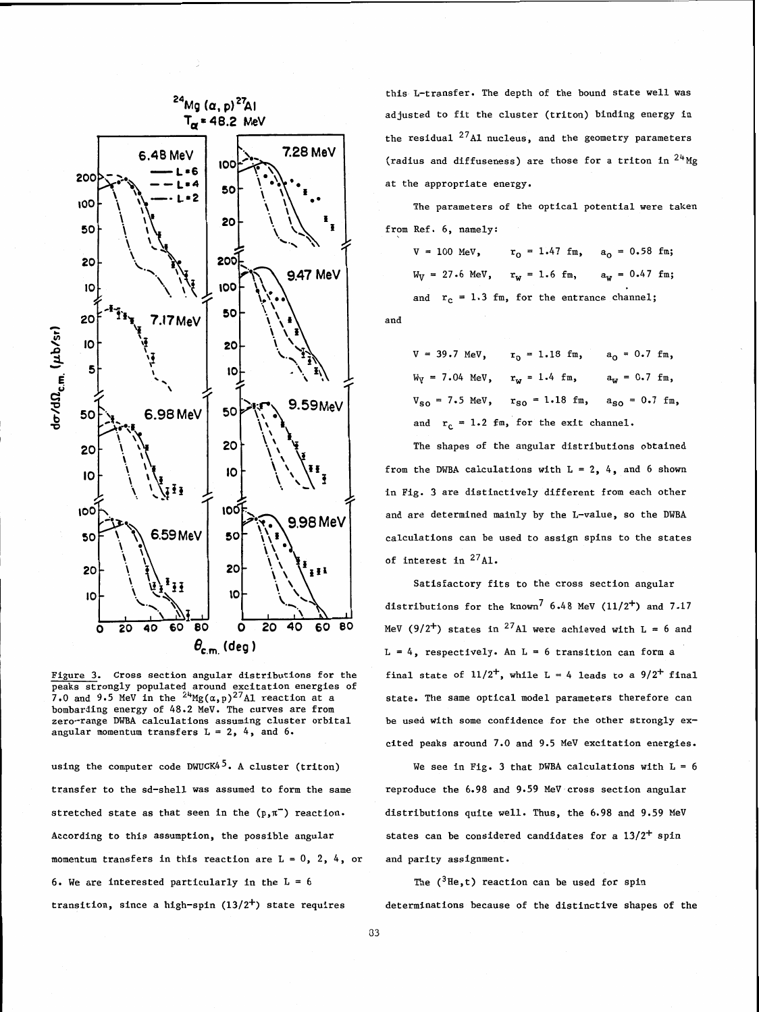

Figure 3. Cross section angular distributions for the peaks strongly populated around excitation energies of 7.0 and 9.5 MeV in the  $24_{\text{Mg}}(\alpha, p)^{27}$ Al reaction at a bombarding energy of 48.2 MeV. The curves are from zero-range DWBA calculations assuming cluster orbital angular momentum transfers  $L = 2$ , 4, and 6.

using the computer code DWUCK4<sup>5</sup>. A cluster (triton) transfer to the sd-shell was assumed to form the same stretched state as that seen in the  $(p,\pi^-)$  reaction. According to this assumption, the possible angular momentum transfers in this reaction are  $L = 0$ , 2, 4, or 6. We are interested particularly in the  $L = 6$ transition, since a high-spin  $(13/2^+)$  state requires

this L-transfer. The depth of the bound state well was adjusted to fit the cluster (triton) binding energy in the residual  $^{27}$ Al nucleus, and the geometry parameters (radius and diffuseness) are those for a triton in  $24^{4}$ Mg at the appropriate energy.

The parameters of the optical potential were taken from Ref. 6, namely:

 $V = 100$  MeV,  $r_0 = 1.47$  fm,  $a_0 = 0.58$  fm;  $W_V = 27.6 \text{ MeV}$ ,  $r_w = 1.6 \text{ fm}$ ,  $a_w = 0.47 \text{ fm}$ ; and  $r_c = 1.3$  fm, for the entrance channel; and

 $V = 39.7 \text{ MeV}, \quad r_0 = 1.18 \text{ fm}, \quad a_0 = 0.7 \text{ fm},$  $W_V = 7.04 \text{ MeV}, \quad r_w = 1.4 \text{ fm}, \quad a_w = 0.7 \text{ fm},$  $V_{SO} = 7.5 \text{ MeV}$ ,  $r_{SO} = 1.18 \text{ fm}$ ,  $a_{SO} = 0.7 \text{ fm}$ , and  $r_c = 1.2$  fm, for the exit channel.

The shapes of the angular distributions obtained from the DWBA calculations with  $L = 2$ , 4, and 6 shown in Fig. 3 are distinctively different from each other and are determined mainly by the L-value, so the DWBA calculations can be used to assign spins to the states of interest in  $^{27}$ Al.

Satisfactory fits to the cross section angular distributions for the known<sup>7</sup> 6.48 MeV ( $11/2^+$ ) and 7.17 MeV (9/2<sup>+</sup>) states in <sup>27</sup>A1 were achieved with L = 6 and  $L = 4$ , respectively. An  $L = 6$  transition can form a final state of  $11/2^+$ , while L = 4 leads to a  $9/2^+$  final state. The same optical model parameters therefore can be used with some confidence for the other strongly excited peaks around 7.0 and 9.5 MeV excitation energies.

We see in Fig. 3 that DWBA calculations with  $L = 6$ reproduce the 6.98 and 9.59 MeV cross section angular distributions quite well. Thus, the 6.98 and 9.59 MeV states can be considered candidates for a **13/2+** spin and parity assignment.

The  $(^3$ He,t) reaction can be used for spin determinations because of the distinctive shapes of the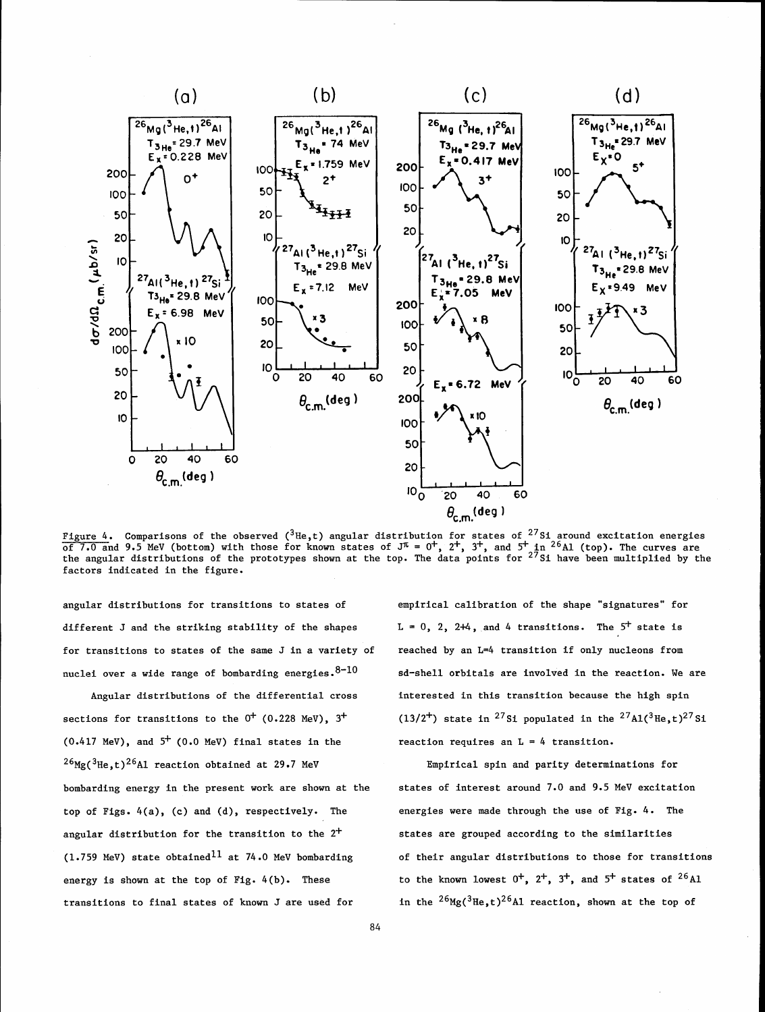

Figure 4. Comparisons of the observed (<sup>3</sup>He,t) angular distribution for states of <sup>2/</sup>Si around excitation energies<br>of 7.0 and 9.5 MeV (bottom) with those for known states of J<sup>π</sup> = 0<sup>+</sup>, 2<sup>+</sup>, 3<sup>+</sup>, and 5<sup>+</sup> in <sup>26</sup>Al ( factors indicated in the figure.

angular distributions for transitions to states of empirical calibration of the shape "signatures" for different J and the striking stability of the shapes  $L = 0, 2, 2+4$ , and 4 transitions. The  $5^+$  state is for transitions to states of the same J in a variety of nuclei over a wide range of bombarding energies.  $8-10$ 

Angular distributions of the differential cross sections for transitions to the  $0^+$  (0.228 MeV),  $3^+$  $(0.417 \text{ MeV})$ , and  $5^{+}$   $(0.0 \text{ MeV})$  final states in the  $^{26}$ Mg(<sup>3</sup>He,t)<sup>26</sup>A1 reaction obtained at 29.7 MeV bombarding energy in the present work are shown at the top of Figs. 4(a), **(c)** and (d), respectively. The angular distribution for the transition to the  $2^+$  $(1.759 \text{ MeV})$  state obtained<sup>11</sup> at 74.0 MeV bombarding energy is shown at the top of Fig. 4(b). These transitions to final states of known J are used for

reached by an L=4 transition if only nucleons from sd-shell orbitals are involved in the reaction. We are interested in this transition because the high spin (13/2<sup>+</sup>) state in <sup>27</sup>Si populated in the <sup>27</sup>A1(<sup>3</sup>He,t)<sup>27</sup>Si reaction requires an  $L = 4$  transition.

Empirical spin and parity determinations for states of interest around 7.0 and 9.5 MeV excitation energies were made through the use of Fig. 4. The states are grouped according to the similarities of their angular distributions to those for transitions to the known lowest  $0^+$ ,  $2^+$ ,  $3^+$ , and  $5^+$  states of  $2^6$ Al in the  $^{26}$ Mg( $^{3}$ He,t)<sup>26</sup>A1 reaction, shown at the top of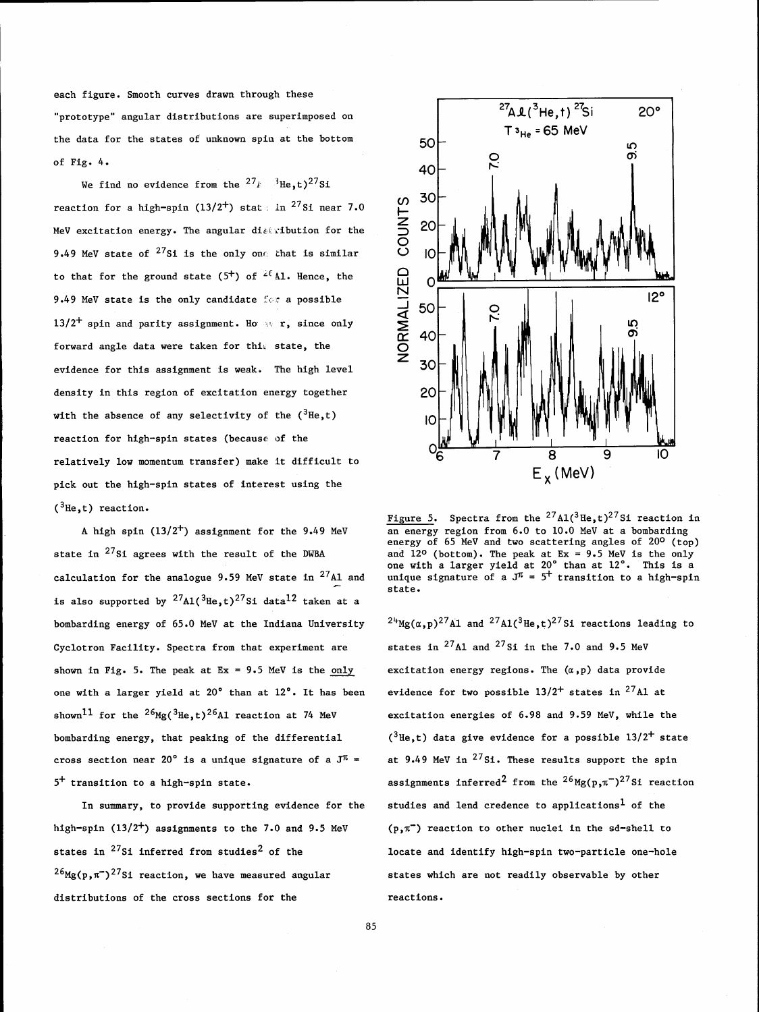each figure. Smooth curves drawn through these "prototype" angular distributions are superimposed on the data for the states of unknown spin at the bottom of Fig. 4.

We find no evidence from the  $27_k$  <sup>3</sup>He, t)<sup>27</sup>Si reaction for a high-spin (13/2<sup>+</sup>) stat in <sup>27</sup>Si near 7.0 MeV excitation energy. The angular distribution for the 9.49 MeV state of  $27s$ i is the only one that is similar to that for the ground state (5<sup>+</sup>) of  $2^{(\ell)}$  Al. Hence, the 9.49 MeV state is the only candidate for a possible 13/2<sup>+</sup> spin and parity assignment. Ho at r, since only forward angle data were taken for this state, the evidence for this assignment is weak. The high level density in this region of excitation energy together with the absence of any selectivity of the  $(^3\text{He}, t)$ reaction for high-spin states (because of the relatively low momentum transfer) make it difficult to pick out the high-spin states of interest using the  $({}^{3}He, t)$  reaction.

A high spin  $(13/2^+)$  assignment for the 9.49 MeV state in  $27s$ i agrees with the result of the DWBA calculation for the analogue 9.59 MeV state in  $^{27}$ Al and is also supported by  $^{27}$ Al( $^{3}$ He,t)<sup>27</sup>Si data<sup>12</sup> taken at a bombarding energy of 65.0 MeV at the Indiana University Cyclotron Facility. Spectra from that experiment are shown in Fig. 5. The peak at  $Ex = 9.5$  MeV is the only one with a larger yield at 20' than at 12'. It has been shown<sup>11</sup> for the <sup>26</sup>Mg(<sup>3</sup>He,t)<sup>26</sup>A1 reaction at 74 MeV bombarding energy, that peaking of the differential cross section near 20° is a unique signature of a  $J^{\pi}$  = 5' transition to a high-spin state.

In summary, to provide supporting evidence for the high-spin  $(13/2^+)$  assignments to the 7.0 and 9.5 MeV states in  $^{27}$ Si inferred from studies<sup>2</sup> of the  $^{26}$ Mg(p, $\pi$ )<sup>27</sup>Si reaction, we have measured angular distributions of the cross sections for the



Figure 5. Spectra from the <sup>27</sup>A1(<sup>3</sup>He,t)<sup>27</sup>Si reaction in an energy region from 6.0 to 10.0 MeV at a bombarding energy of 65 MeV and two scattering angles of 20° (top) and  $12^{\circ}$  (bottom). The peak at  $Ex = 9.5$  MeV is the only one with a larger yield at 20" than at 12'. This is a unique signature of a  $J^{\pi} = 5^{+}$  transition to a high-spin state.

 $^{24}$ Mg( $\alpha$ ,p)<sup>27</sup>A1 and <sup>27</sup>A1(<sup>3</sup>He,t)<sup>27</sup>Si reactions leading to states in  $^{27}$ Al and  $^{27}$ Si in the 7.0 and 9.5 MeV excitation energy regions. The  $(\alpha, p)$  data provide evidence for two possible  $13/2^+$  states in  $^{27}$ Al at excitation energies of 6.98 and 9.59 MeV, while the  $(3He,t)$  data give evidence for a possible 13/2<sup>+</sup> state at 9.49 MeV in  $27s$ i. These results support the spin assignments inferred<sup>2</sup> from the  $^{26}$ Mg(p, $\pi$ <sup>-</sup>)<sup>27</sup>Si reaction studies and lend credence to applications<sup>1</sup> of the  $(p, \pi^-)$  reaction to other nuclei in the sd-shell to locate and identify high-spin two-particle one-hole states which are not readily observable by other reactions.